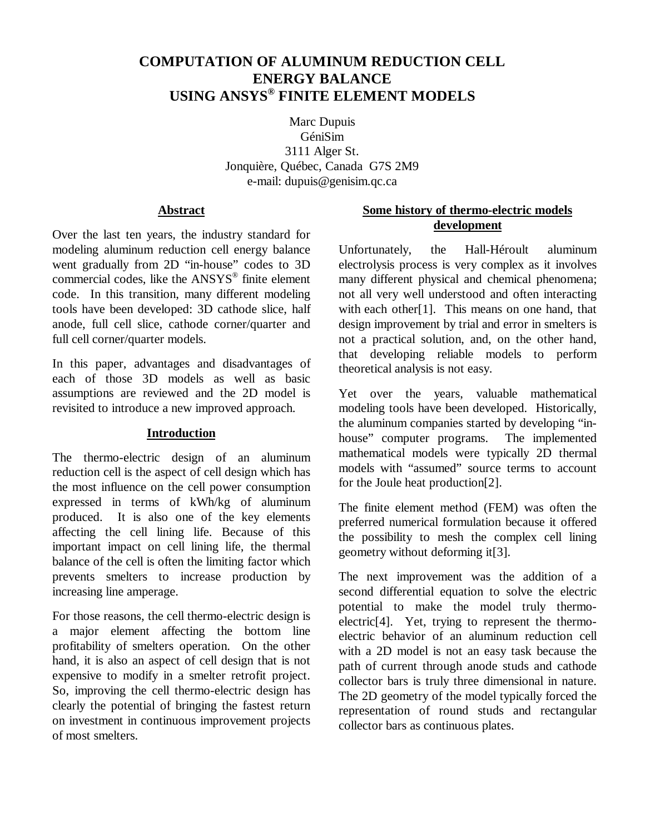# **COMPUTATION OF ALUMINUM REDUCTION CELL ENERGY BALANCE USING ANSYS® FINITE ELEMENT MODELS**

Marc Dupuis GéniSim 3111 Alger St. Jonquière, Québec, Canada G7S 2M9 e-mail: dupuis@genisim.qc.ca

## **Abstract**

Over the last ten years, the industry standard for modeling aluminum reduction cell energy balance went gradually from 2D "in-house" codes to 3D commercial codes, like the ANSYS® finite element code. In this transition, many different modeling tools have been developed: 3D cathode slice, half anode, full cell slice, cathode corner/quarter and full cell corner/quarter models.

In this paper, advantages and disadvantages of each of those 3D models as well as basic assumptions are reviewed and the 2D model is revisited to introduce a new improved approach.

## **Introduction**

The thermo-electric design of an aluminum reduction cell is the aspect of cell design which has the most influence on the cell power consumption expressed in terms of kWh/kg of aluminum produced. It is also one of the key elements affecting the cell lining life. Because of this important impact on cell lining life, the thermal balance of the cell is often the limiting factor which prevents smelters to increase production by increasing line amperage.

For those reasons, the cell thermo-electric design is a major element affecting the bottom line profitability of smelters operation. On the other hand, it is also an aspect of cell design that is not expensive to modify in a smelter retrofit project. So, improving the cell thermo-electric design has clearly the potential of bringing the fastest return on investment in continuous improvement projects of most smelters.

## **Some history of thermo-electric models development**

Unfortunately, the Hall-Héroult aluminum electrolysis process is very complex as it involves many different physical and chemical phenomena; not all very well understood and often interacting with each other<sup>[1]</sup>. This means on one hand, that design improvement by trial and error in smelters is not a practical solution, and, on the other hand, that developing reliable models to perform theoretical analysis is not easy.

Yet over the years, valuable mathematical modeling tools have been developed. Historically, the aluminum companies started by developing "inhouse" computer programs. The implemented mathematical models were typically 2D thermal models with "assumed" source terms to account for the Joule heat production[2].

The finite element method (FEM) was often the preferred numerical formulation because it offered the possibility to mesh the complex cell lining geometry without deforming it[3].

The next improvement was the addition of a second differential equation to solve the electric potential to make the model truly thermoelectric[4]. Yet, trying to represent the thermoelectric behavior of an aluminum reduction cell with a 2D model is not an easy task because the path of current through anode studs and cathode collector bars is truly three dimensional in nature. The 2D geometry of the model typically forced the representation of round studs and rectangular collector bars as continuous plates.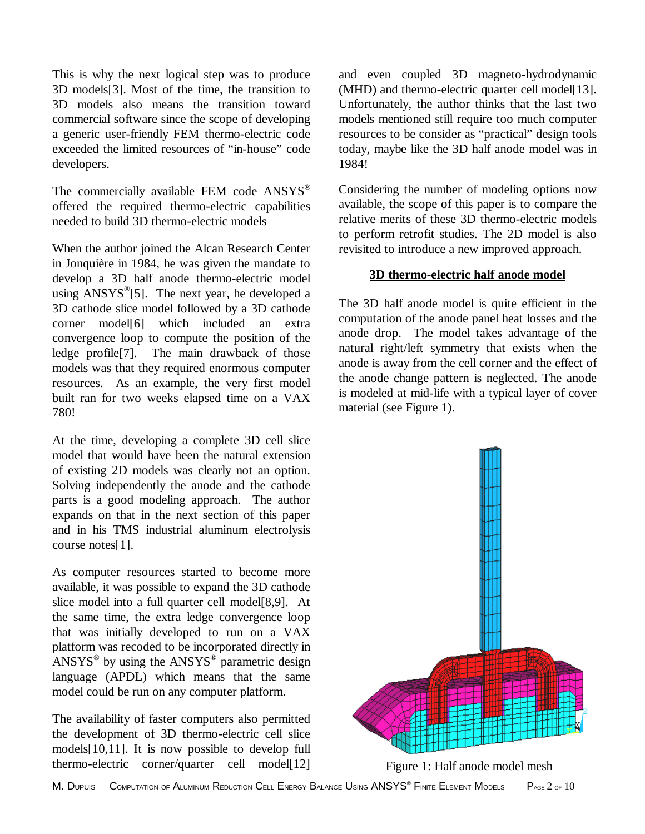This is why the next logical step was to produce 3D models[3]. Most of the time, the transition to 3D models also means the transition toward commercial software since the scope of developing a generic user-friendly FEM thermo-electric code exceeded the limited resources of "in-house" code developers.

The commercially available FEM code ANSYS® offered the required thermo-electric capabilities needed to build 3D thermo-electric models

When the author joined the Alcan Research Center in Jonquière in 1984, he was given the mandate to develop a 3D half anode thermo-electric model using  $ANSYS^{\circledast}[5]$ . The next year, he developed a 3D cathode slice model followed by a 3D cathode corner model[6] which included an extra convergence loop to compute the position of the ledge profile[7]. The main drawback of those models was that they required enormous computer resources. As an example, the very first model built ran for two weeks elapsed time on a VAX 780!

At the time, developing a complete 3D cell slice model that would have been the natural extension of existing 2D models was clearly not an option. Solving independently the anode and the cathode parts is a good modeling approach. The author expands on that in the next section of this paper and in his TMS industrial aluminum electrolysis course notes[1].

As computer resources started to become more available, it was possible to expand the 3D cathode slice model into a full quarter cell model[8,9]. At the same time, the extra ledge convergence loop that was initially developed to run on a VAX platform was recoded to be incorporated directly in ANSYS® by using the ANSYS® parametric design language (APDL) which means that the same model could be run on any computer platform.

The availability of faster computers also permitted the development of 3D thermo-electric cell slice models[10,11]. It is now possible to develop full thermo-electric corner/quarter cell model[12]

and even coupled 3D magneto-hydrodynamic (MHD) and thermo-electric quarter cell model[13]. Unfortunately, the author thinks that the last two models mentioned still require too much computer resources to be consider as "practical" design tools today, maybe like the 3D half anode model was in 1984!

Considering the number of modeling options now available, the scope of this paper is to compare the relative merits of these 3D thermo-electric models to perform retrofit studies. The 2D model is also revisited to introduce a new improved approach.

## **3D thermo-electric half anode model**

The 3D half anode model is quite efficient in the computation of the anode panel heat losses and the anode drop. The model takes advantage of the natural right/left symmetry that exists when the anode is away from the cell corner and the effect of the anode change pattern is neglected. The anode is modeled at mid-life with a typical layer of cover material (see Figure 1).



Figure 1: Half anode model mesh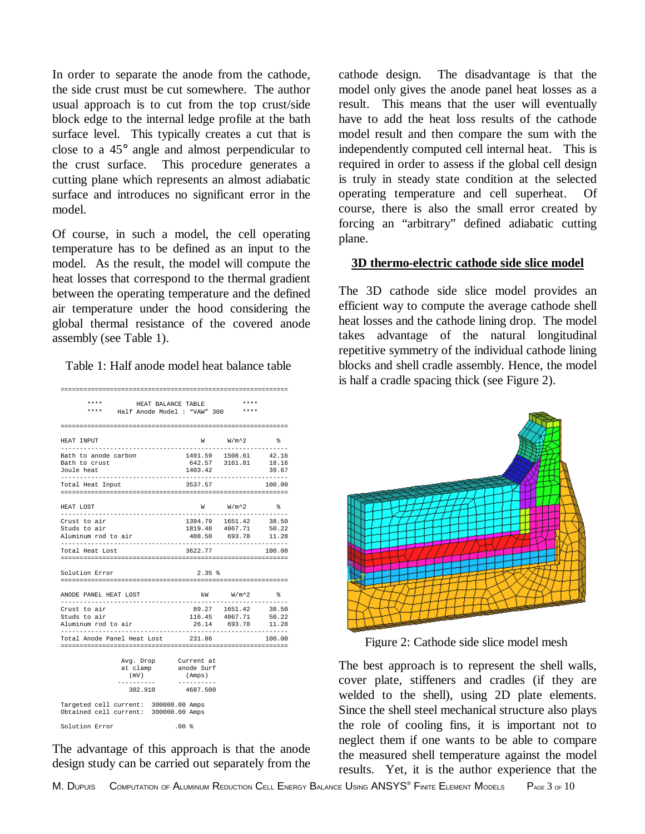In order to separate the anode from the cathode, the side crust must be cut somewhere. The author usual approach is to cut from the top crust/side block edge to the internal ledge profile at the bath surface level. This typically creates a cut that is close to a 45° angle and almost perpendicular to the crust surface. This procedure generates a cutting plane which represents an almost adiabatic surface and introduces no significant error in the model.

Of course, in such a model, the cell operating temperature has to be defined as an input to the model. As the result, the model will compute the heat losses that correspond to the thermal gradient between the operating temperature and the defined air temperature under the hood considering the global thermal resistance of the covered anode assembly (see Table 1).

Table 1: Half anode model heat balance table

| ****<br>HEAT BALANCE TABLE<br>****<br>Half Anode Model : "VAW" 300             |                                  | $***$<br>****                                              |                |
|--------------------------------------------------------------------------------|----------------------------------|------------------------------------------------------------|----------------|
|                                                                                |                                  |                                                            |                |
| HEAT INPUT                                                                     |                                  | $W$ $W/m^2$                                                | °              |
| Bath to anode carbon<br>Bath to crust<br>Joule heat                            | 1403.42                          | 1491.59 1508.61 42.16<br>642.57 3161.81                    | 18.16<br>39.67 |
| Total Heat Input                                                               | 3537.57                          |                                                            | 100.00         |
| HEAT LOST                                                                      |                                  | $W$ $W/m^2$ &                                              |                |
| Crust to air<br>Studs to air<br>Aluminum rod to air                            | 408.50                           | 1394.79  1651.42  38.50<br>1819.48 4067.71 50.22<br>693.78 | 11.28          |
| Total Heat Lost                                                                | 3622.77                          |                                                            | 100.00         |
| Solution Error                                                                 | 2.35 %                           |                                                            |                |
| =================                                                              |                                  |                                                            |                |
| ANODE PANEL HEAT LOST                                                          |                                  | kW W/m^2 %                                                 |                |
| Crust to air<br>Studs to air<br>Aluminum rod to air                            |                                  | 89.27 1651.42 38.50<br>116.45 4067.71<br>26.14 693.78      | 50.22<br>11.28 |
| Total Anode Panel Heat Lost                                                    | 231.86                           |                                                            | 100.00         |
| Avg. Drop Current at<br>at clamp anode Surf<br>(mV)<br>-----------<br>302.910  | (Amps)<br>----------<br>4687.500 |                                                            |                |
| Targeted cell current: 300000.00 Amps<br>Obtained cell current: 300000.00 Amps |                                  |                                                            |                |
|                                                                                |                                  |                                                            |                |

The advantage of this approach is that the anode design study can be carried out separately from the

cathode design. The disadvantage is that the model only gives the anode panel heat losses as a result. This means that the user will eventually have to add the heat loss results of the cathode model result and then compare the sum with the independently computed cell internal heat. This is required in order to assess if the global cell design is truly in steady state condition at the selected operating temperature and cell superheat. Of course, there is also the small error created by forcing an "arbitrary" defined adiabatic cutting plane.

## **3D thermo-electric cathode side slice model**

The 3D cathode side slice model provides an efficient way to compute the average cathode shell heat losses and the cathode lining drop. The model takes advantage of the natural longitudinal repetitive symmetry of the individual cathode lining blocks and shell cradle assembly. Hence, the model is half a cradle spacing thick (see Figure 2).



Figure 2: Cathode side slice model mesh

The best approach is to represent the shell walls, cover plate, stiffeners and cradles (if they are welded to the shell), using 2D plate elements. Since the shell steel mechanical structure also plays the role of cooling fins, it is important not to neglect them if one wants to be able to compare the measured shell temperature against the model results. Yet, it is the author experience that the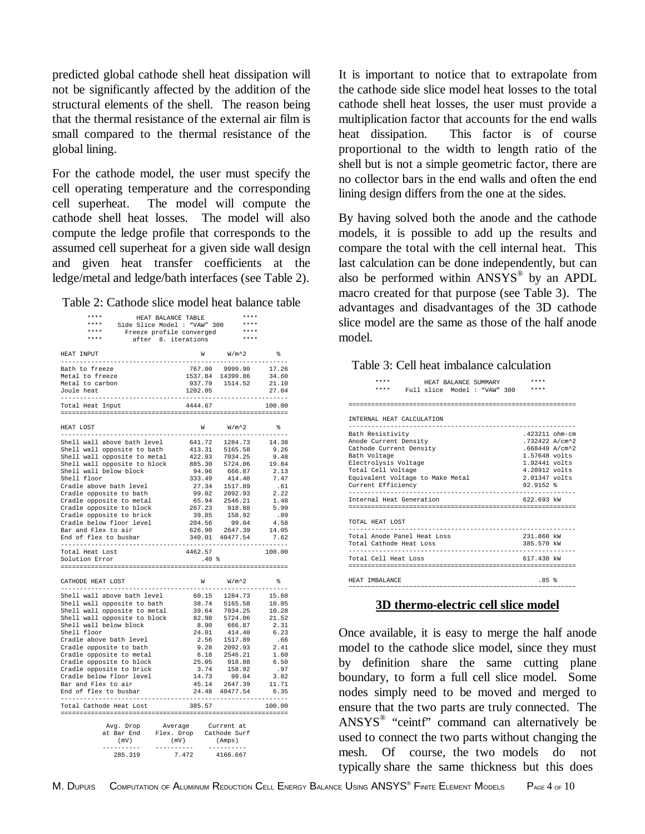predicted global cathode shell heat dissipation will not be significantly affected by the addition of the structural elements of the shell. The reason being that the thermal resistance of the external air film is small compared to the thermal resistance of the global lining.

For the cathode model, the user must specify the cell operating temperature and the corresponding cell superheat. The model will compute the cathode shell heat losses. The model will also compute the ledge profile that corresponds to the assumed cell superheat for a given side wall design and given heat transfer coefficients at the ledge/metal and ledge/bath interfaces (see Table 2).

Table 2: Cathode slice model heat balance table

| $***$ * * *                                                                                                                                                   | HEAT BALANCE TABLE                              | ****                                                                                                                                                                                           |                |
|---------------------------------------------------------------------------------------------------------------------------------------------------------------|-------------------------------------------------|------------------------------------------------------------------------------------------------------------------------------------------------------------------------------------------------|----------------|
| ****                                                                                                                                                          | Side Slice Model : "VAW" 300                    | ****                                                                                                                                                                                           |                |
|                                                                                                                                                               |                                                 | $***$                                                                                                                                                                                          |                |
| * * * *<br>* * * *                                                                                                                                            | Freeze profile converged<br>after 8. iterations | $***$                                                                                                                                                                                          |                |
|                                                                                                                                                               |                                                 |                                                                                                                                                                                                |                |
| HEAT INPUT                                                                                                                                                    |                                                 | $W$ $W/m^2$                                                                                                                                                                                    | ୫              |
|                                                                                                                                                               |                                                 |                                                                                                                                                                                                |                |
| Bath to freeze                                                                                                                                                |                                                 |                                                                                                                                                                                                |                |
| Metal to freeze                                                                                                                                               |                                                 | 767.00 9999.90<br>1537.84 14399.86                                                                                                                                                             | 17.26<br>34.60 |
| Metal to carbon                                                                                                                                               |                                                 | 937.79 1514.52                                                                                                                                                                                 | 21.10          |
| Joule heat                                                                                                                                                    | 1202.05                                         |                                                                                                                                                                                                | 27.04          |
| ----------------------------                                                                                                                                  |                                                 | ------------------------------                                                                                                                                                                 |                |
| Total Heat Input                                                                                                                                              | 4444.67                                         |                                                                                                                                                                                                | 100.00         |
|                                                                                                                                                               |                                                 |                                                                                                                                                                                                |                |
|                                                                                                                                                               |                                                 |                                                                                                                                                                                                |                |
| HEAT LOST                                                                                                                                                     |                                                 | $W$ $W/m^2$                                                                                                                                                                                    | g.             |
|                                                                                                                                                               |                                                 |                                                                                                                                                                                                |                |
|                                                                                                                                                               |                                                 |                                                                                                                                                                                                |                |
|                                                                                                                                                               |                                                 |                                                                                                                                                                                                |                |
|                                                                                                                                                               |                                                 |                                                                                                                                                                                                |                |
|                                                                                                                                                               |                                                 |                                                                                                                                                                                                |                |
|                                                                                                                                                               |                                                 |                                                                                                                                                                                                |                |
|                                                                                                                                                               |                                                 |                                                                                                                                                                                                |                |
|                                                                                                                                                               |                                                 |                                                                                                                                                                                                |                |
|                                                                                                                                                               |                                                 |                                                                                                                                                                                                |                |
|                                                                                                                                                               |                                                 |                                                                                                                                                                                                |                |
| Cradle opposite to bath<br>Cradle opposite to metal<br>Cradle opposite to block                                                                               |                                                 |                                                                                                                                                                                                | 1.48           |
|                                                                                                                                                               |                                                 |                                                                                                                                                                                                | 5.99           |
| Cradie opposite to brick<br>Cradle opposite to brick<br>Cradle below floor level                                                                              |                                                 | $65.94$ $2546.21$<br>$267.23$ $918.88$<br>$39.85$ $158.92$<br>$204.56$ $99.04$                                                                                                                 | .89            |
|                                                                                                                                                               |                                                 |                                                                                                                                                                                                | 4.58           |
| Bar and Flex to air                                                                                                                                           |                                                 |                                                                                                                                                                                                | 14.05          |
| End of flex to busbar                                                                                                                                         |                                                 | 626.90 2647.39<br>340.01 40477.54                                                                                                                                                              | 7.62           |
|                                                                                                                                                               |                                                 |                                                                                                                                                                                                |                |
| Total Heat Lost                                                                                                                                               | 4462.57                                         |                                                                                                                                                                                                | 100.00         |
| Solution Error                                                                                                                                                | .40%                                            |                                                                                                                                                                                                |                |
|                                                                                                                                                               |                                                 |                                                                                                                                                                                                |                |
|                                                                                                                                                               |                                                 |                                                                                                                                                                                                |                |
| CATHODE HEAT LOST                                                                                                                                             |                                                 | $W$ $W/m^2$                                                                                                                                                                                    | $\approx$      |
|                                                                                                                                                               |                                                 |                                                                                                                                                                                                |                |
| Shell wall above bath level<br>Shell wall opposite to bath                                                                                                    |                                                 |                                                                                                                                                                                                |                |
|                                                                                                                                                               |                                                 |                                                                                                                                                                                                |                |
| Shell wall opposite to metal<br>Shell wall opposite to block                                                                                                  |                                                 |                                                                                                                                                                                                |                |
|                                                                                                                                                               |                                                 |                                                                                                                                                                                                |                |
| Shell wall below block                                                                                                                                        |                                                 |                                                                                                                                                                                                |                |
| Shell floor                                                                                                                                                   |                                                 | $\begin{array}{cccc} 60.15 & 1284.73 & 15.60 \\ 38.74 & 5165.58 & 10.05 \\ 39.64 & 7034.25 & 10.28 \\ 82.98 & 5724.06 & 21.52 \\ 8.90 & 666.87 & 2.31 \\ 24.01 & 414.40 & 6.23 \\ \end{array}$ |                |
| Cradle above bath level                                                                                                                                       |                                                 | 2.56 1517.89<br>9.28 2092.93<br>6.18 2546.21<br>25.05 918.88                                                                                                                                   | .66            |
| Cradle opposite to bath                                                                                                                                       |                                                 |                                                                                                                                                                                                | 2.41           |
| Cradle opposite to metal                                                                                                                                      |                                                 |                                                                                                                                                                                                | 1.60           |
| Cradle opposite to block                                                                                                                                      |                                                 |                                                                                                                                                                                                | 6.50           |
| Cradle opposite to brick<br>Cradle below floor level                                                                                                          |                                                 | $3.74$ 158.92<br>14.73 99.04<br>45.14 2647.39                                                                                                                                                  | .97            |
|                                                                                                                                                               |                                                 |                                                                                                                                                                                                | 3.82           |
| Bar and Flex to air                                                                                                                                           |                                                 |                                                                                                                                                                                                | 11.71          |
| End of flex to busbar                                                                                                                                         |                                                 | 24.48 40477.54                                                                                                                                                                                 | 6.35           |
|                                                                                                                                                               |                                                 |                                                                                                                                                                                                |                |
| Total Cathode Heat Lost                                                                                                                                       | 385.57                                          |                                                                                                                                                                                                | 100.00         |
|                                                                                                                                                               |                                                 |                                                                                                                                                                                                |                |
|                                                                                                                                                               |                                                 |                                                                                                                                                                                                |                |
|                                                                                                                                                               |                                                 |                                                                                                                                                                                                |                |
|                                                                                                                                                               |                                                 |                                                                                                                                                                                                |                |
| $\begin{tabular}{llll} \textsc{Avg. Drop} & Average & Current at \\ \textit{at Bar End} & Flex. Drop & Catholic Surf \\ (mV) & (mV) & (mmg) \\ \end{tabular}$ |                                                 |                                                                                                                                                                                                |                |
|                                                                                                                                                               |                                                 |                                                                                                                                                                                                |                |

285.319 7.472 4166.667

It is important to notice that to extrapolate from the cathode side slice model heat losses to the total cathode shell heat losses, the user must provide a multiplication factor that accounts for the end walls heat dissipation. This factor is of course proportional to the width to length ratio of the shell but is not a simple geometric factor, there are no collector bars in the end walls and often the end lining design differs from the one at the sides.

By having solved both the anode and the cathode models, it is possible to add up the results and compare the total with the cell internal heat. This last calculation can be done independently, but can also be performed within ANSYS® by an APDL macro created for that purpose (see Table 3). The advantages and disadvantages of the 3D cathode slice model are the same as those of the half anode model.

Table 3: Cell heat imbalance calculation

| ****<br>****                                                                                                                                                                                                                                                | HEAT BALANCE SUMMARY<br>Full slice Model : "VAW" 300 | ****<br>****                                                                                                                                                                 |
|-------------------------------------------------------------------------------------------------------------------------------------------------------------------------------------------------------------------------------------------------------------|------------------------------------------------------|------------------------------------------------------------------------------------------------------------------------------------------------------------------------------|
| INTERNAL HEAT CALCULATION                                                                                                                                                                                                                                   |                                                      |                                                                                                                                                                              |
| Bath Resistivity<br>Anode Current Density<br>Cathode Current Density<br>Bath Voltage<br>Electrolysis Voltage<br>Total Cell Voltage<br>Equivalent Voltage to Make Metal<br>Current Efficiency<br>-------------------------------<br>Internal Heat Generation |                                                      | $.423211$ ohm-cm<br>.732422 A/cm^2<br>$.668449$ A/cm <sup>2</sup> 2<br>$1.57648$ volts<br>$1.92441$ volts<br>$4.28912$ volts<br>$2.01347$ volts<br>$92.9152$ %<br>622.693 kW |
| TOTAL HEAT LOST                                                                                                                                                                                                                                             |                                                      |                                                                                                                                                                              |
| Total Anode Panel Heat Loss<br>Total Cathode Heat Loss                                                                                                                                                                                                      |                                                      | 231.860 kW<br>385.570 kW                                                                                                                                                     |
| Total Cell Heat Loss                                                                                                                                                                                                                                        |                                                      | 617.430 kW                                                                                                                                                                   |
| HEAT IMBALANCE                                                                                                                                                                                                                                              |                                                      | .85%                                                                                                                                                                         |

#### **3D thermo-electric cell slice model**

Once available, it is easy to merge the half anode model to the cathode slice model, since they must by definition share the same cutting plane boundary, to form a full cell slice model. Some nodes simply need to be moved and merged to ensure that the two parts are truly connected. The ANSYS® "ceintf" command can alternatively be used to connect the two parts without changing the mesh. Of course, the two models do not typically share the same thickness but this does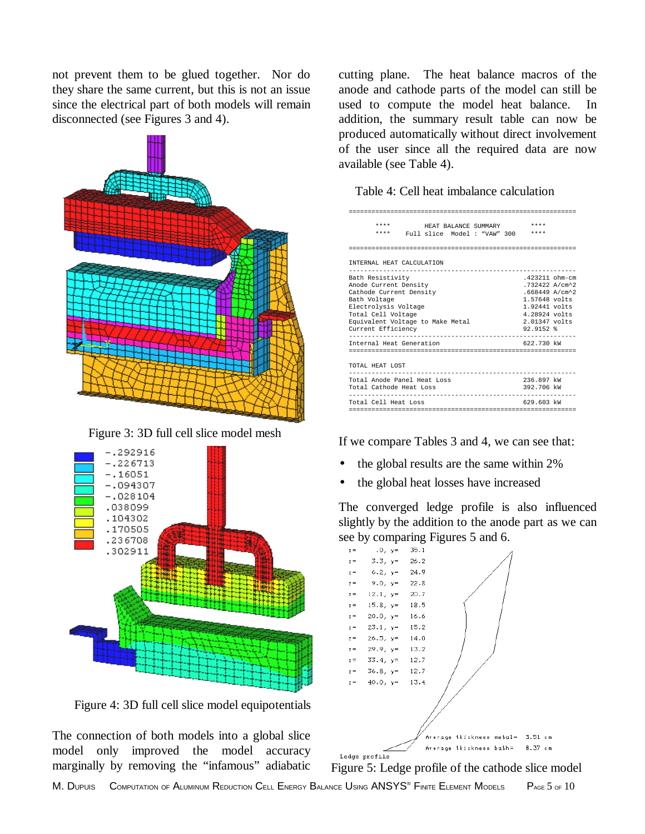not prevent them to be glued together. Nor do they share the same current, but this is not an issue since the electrical part of both models will remain disconnected (see Figures 3 and 4).



Figure 3: 3D full cell slice model mesh



Figure 4: 3D full cell slice model equipotentials

The connection of both models into a global slice model only improved the model accuracy marginally by removing the "infamous" adiabatic cutting plane. The heat balance macros of the anode and cathode parts of the model can still be used to compute the model heat balance. In addition, the summary result table can now be produced automatically without direct involvement of the user since all the required data are now available (see Table 4).

| Table 4: Cell heat imbalance calculation |
|------------------------------------------|
|                                          |

| $***$                                                      | HEAT BALANCE SUMMARY        | $***$                         |
|------------------------------------------------------------|-----------------------------|-------------------------------|
| ****                                                       | Full slice Model: "VAW" 300 | $***$                         |
|                                                            |                             |                               |
|                                                            |                             |                               |
| INTERNAL HEAT CALCULATION<br>------------------            |                             |                               |
| Bath Resistivity                                           |                             | $.423211$ ohm-cm              |
| Anode Current Density                                      |                             | .732422 A/cm^2                |
| Cathode Current Density                                    |                             | $.668449$ A/cm <sup>2</sup> 2 |
| Bath Voltage                                               |                             | 1.57648 volts                 |
| Electrolysis Voltage                                       |                             | 1.92441 volts                 |
| Total Cell Voltage                                         |                             | 4.28924 volts                 |
| Equivalent Voltage to Make Metal                           |                             | $2.01347$ volts               |
| Current Efficiency                                         |                             | $92.9152$ %                   |
| ------------------------------<br>Internal Heat Generation |                             | 622.730 kW                    |
|                                                            |                             |                               |
|                                                            |                             |                               |
| TOTAL HEAT LOST                                            |                             |                               |
| ----------------------------                               |                             |                               |
| Total Anode Panel Heat Loss                                |                             | 236.897 kW                    |
| Total Cathode Heat Loss                                    |                             | 392.706 kW                    |
|                                                            |                             |                               |
| Total Cell Heat Loss                                       |                             | 629.603 kW                    |
|                                                            |                             |                               |

If we compare Tables 3 and 4, we can see that:

- the global results are the same within 2%
- the global heat losses have increased

The converged ledge profile is also influenced slightly by the addition to the anode part as we can see by comparing Figures 5 and 6.



Figure 5: Ledge profile of the cathode slice model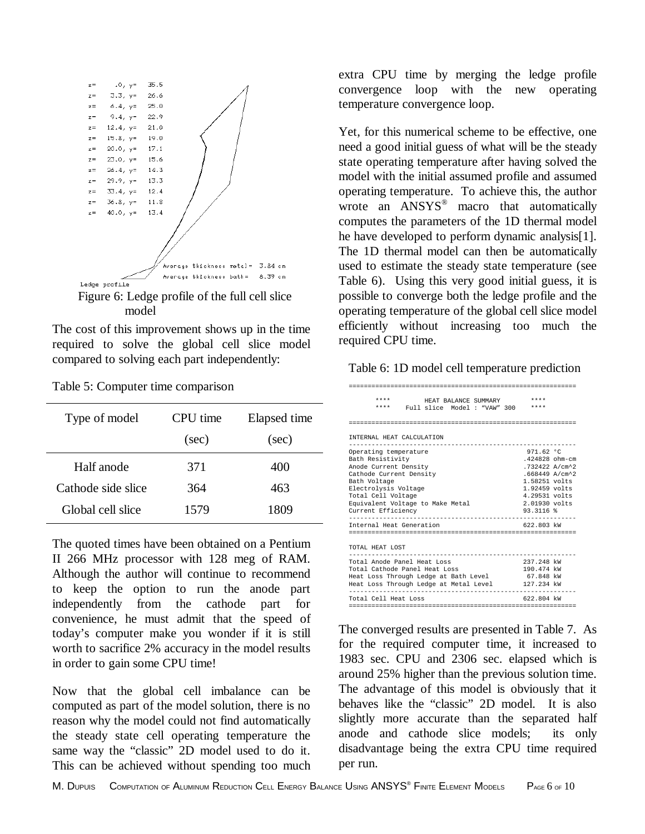

model

The cost of this improvement shows up in the time required to solve the global cell slice model compared to solving each part independently:

| Type of model      | CPU time | Elapsed time |
|--------------------|----------|--------------|
|                    | (sec)    | (sec)        |
| Half anode         | 371      | 400          |
| Cathode side slice | 364      | 463          |
| Global cell slice  | 1579     | 1809         |

The quoted times have been obtained on a Pentium II 266 MHz processor with 128 meg of RAM. Although the author will continue to recommend to keep the option to run the anode part independently from the cathode part for convenience, he must admit that the speed of today's computer make you wonder if it is still worth to sacrifice 2% accuracy in the model results in order to gain some CPU time!

Now that the global cell imbalance can be computed as part of the model solution, there is no reason why the model could not find automatically the steady state cell operating temperature the same way the "classic" 2D model used to do it. This can be achieved without spending too much extra CPU time by merging the ledge profile convergence loop with the new operating temperature convergence loop.

Yet, for this numerical scheme to be effective, one need a good initial guess of what will be the steady state operating temperature after having solved the model with the initial assumed profile and assumed operating temperature. To achieve this, the author wrote an ANSYS<sup>®</sup> macro that automatically computes the parameters of the 1D thermal model he have developed to perform dynamic analysis[1]. The 1D thermal model can then be automatically used to estimate the steady state temperature (see Table 6). Using this very good initial guess, it is possible to converge both the ledge profile and the operating temperature of the global cell slice model efficiently without increasing too much the required CPU time.

Table 6: 1D model cell temperature prediction

| $* * * *$<br>HEAT BALANCE SUMMARY      | $***$            |  |
|----------------------------------------|------------------|--|
| $***$<br>Full slice Model : "VAW" 300  | ****             |  |
|                                        |                  |  |
|                                        |                  |  |
| INTERNAL HEAT CALCULATION              |                  |  |
|                                        |                  |  |
| Operating temperature                  | 971.62 °C        |  |
| Bath Resistivity                       | $.424828$ ohm-cm |  |
| Anode Current Density                  | .732422 A/cm^2   |  |
| Cathode Current Density                | .668449 A/cm^2   |  |
| Bath Voltage                           | $1.58251$ volts  |  |
| Electrolysis Voltage                   | $1.92459$ volts  |  |
| Total Cell Voltage                     | $4.29531$ volts  |  |
| Equivalent Voltage to Make Metal       | $2.01930$ volts  |  |
| Current Efficiency                     | $93.3116$ $%$    |  |
| Internal Heat Generation               | 622.803 kW       |  |
|                                        |                  |  |
|                                        |                  |  |
| TOTAL HEAT LOST                        |                  |  |
|                                        |                  |  |
| Total Anode Panel Heat Loss            | 237.248 kW       |  |
| Total Cathode Panel Heat Loss          | 190.474 kW       |  |
| Heat Loss Through Ledge at Bath Level  | 67.848 kW        |  |
| Heat Loss Through Ledge at Metal Level | 127.234 kW       |  |
| Total Cell Heat Loss                   | 622.804 kW       |  |
|                                        |                  |  |
|                                        |                  |  |

The converged results are presented in Table 7. As for the required computer time, it increased to 1983 sec. CPU and 2306 sec. elapsed which is around 25% higher than the previous solution time. The advantage of this model is obviously that it behaves like the "classic" 2D model. It is also slightly more accurate than the separated half anode and cathode slice models; its only disadvantage being the extra CPU time required per run.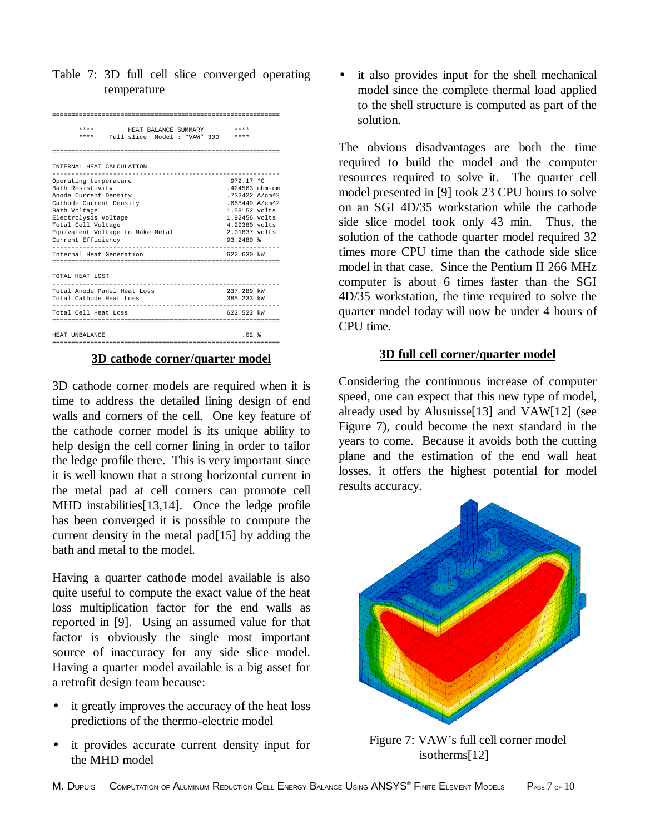Table 7: 3D full cell slice converged operating temperature

| ****<br>HEAT BALANCE SUMMARY<br>****<br>Full slice Model : "VAW" 300                                                                                                                                                                              | ****<br>$***$                                                                                                                                                                           |
|---------------------------------------------------------------------------------------------------------------------------------------------------------------------------------------------------------------------------------------------------|-----------------------------------------------------------------------------------------------------------------------------------------------------------------------------------------|
|                                                                                                                                                                                                                                                   |                                                                                                                                                                                         |
| INTERNAL HEAT CALCULATION<br>.                                                                                                                                                                                                                    |                                                                                                                                                                                         |
| Operating temperature<br>Bath Resistivity<br>Anode Current Density<br>Cathode Current Density<br>Bath Voltage<br>Electrolysis Voltage<br>Total Cell Voltage<br>Equivalent Voltage to Make Metal<br>Current Efficiency<br>Internal Heat Generation | 972.17 °C<br>$.424563$ ohm-cm<br>.732422 A/cm^2<br>$.668449$ A/cm <sup>2</sup> 2<br>$1.58152$ volts<br>$1.92456$ volts<br>4.29380 volts<br>2.01837 volts<br>$93.2480$ $%$<br>622.630 kW |
| TOTAL HEAT LOST                                                                                                                                                                                                                                   |                                                                                                                                                                                         |
| Total Anode Panel Heat Loss<br>Total Cathode Heat Loss                                                                                                                                                                                            | 237.289 kW<br>385.233 kW                                                                                                                                                                |
| Total Cell Heat Loss                                                                                                                                                                                                                              | 622.522 kW                                                                                                                                                                              |
| HEAT UNBALANCE                                                                                                                                                                                                                                    | $.02*$                                                                                                                                                                                  |

#### **3D cathode corner/quarter model**

3D cathode corner models are required when it is time to address the detailed lining design of end walls and corners of the cell. One key feature of the cathode corner model is its unique ability to help design the cell corner lining in order to tailor the ledge profile there. This is very important since it is well known that a strong horizontal current in the metal pad at cell corners can promote cell MHD instabilities[13,14]. Once the ledge profile has been converged it is possible to compute the current density in the metal pad[15] by adding the bath and metal to the model.

Having a quarter cathode model available is also quite useful to compute the exact value of the heat loss multiplication factor for the end walls as reported in [9]. Using an assumed value for that factor is obviously the single most important source of inaccuracy for any side slice model. Having a quarter model available is a big asset for a retrofit design team because:

- it greatly improves the accuracy of the heat loss predictions of the thermo-electric model
- it provides accurate current density input for the MHD model

it also provides input for the shell mechanical model since the complete thermal load applied to the shell structure is computed as part of the solution.

The obvious disadvantages are both the time required to build the model and the computer resources required to solve it. The quarter cell model presented in [9] took 23 CPU hours to solve on an SGI 4D/35 workstation while the cathode side slice model took only 43 min. Thus, the solution of the cathode quarter model required 32 times more CPU time than the cathode side slice model in that case. Since the Pentium II 266 MHz computer is about 6 times faster than the SGI 4D/35 workstation, the time required to solve the quarter model today will now be under 4 hours of CPU time.

## **3D full cell corner/quarter model**

Considering the continuous increase of computer speed, one can expect that this new type of model, already used by Alusuisse[13] and VAW[12] (see Figure 7), could become the next standard in the years to come. Because it avoids both the cutting plane and the estimation of the end wall heat losses, it offers the highest potential for model results accuracy.



Figure 7: VAW's full cell corner model isotherms[12]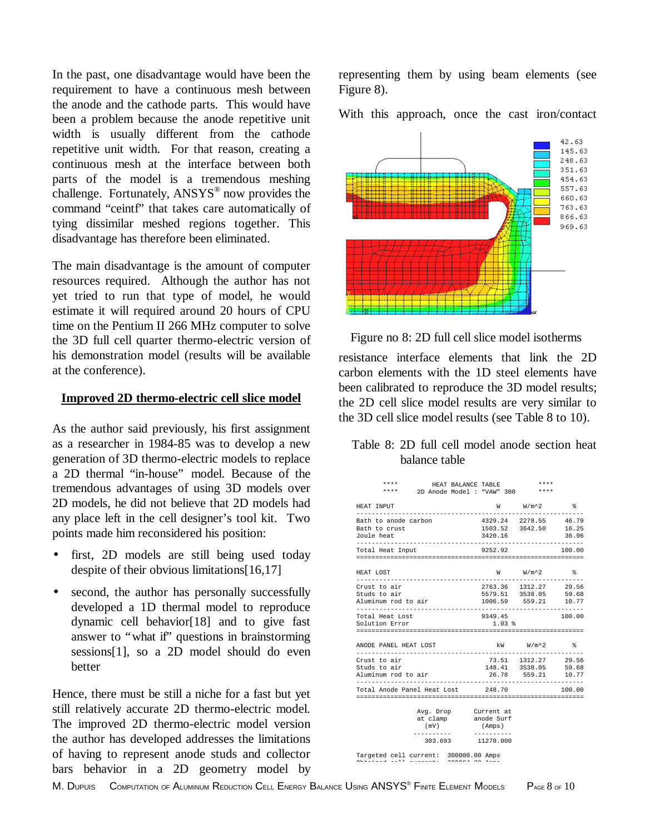In the past, one disadvantage would have been the requirement to have a continuous mesh between the anode and the cathode parts. This would have been a problem because the anode repetitive unit width is usually different from the cathode repetitive unit width. For that reason, creating a continuous mesh at the interface between both parts of the model is a tremendous meshing challenge. Fortunately, ANSYS<sup>®</sup> now provides the command "ceintf" that takes care automatically of tying dissimilar meshed regions together. This disadvantage has therefore been eliminated.

The main disadvantage is the amount of computer resources required. Although the author has not yet tried to run that type of model, he would estimate it will required around 20 hours of CPU time on the Pentium II 266 MHz computer to solve the 3D full cell quarter thermo-electric version of his demonstration model (results will be available at the conference).

## **Improved 2D thermo-electric cell slice model**

As the author said previously, his first assignment as a researcher in 1984-85 was to develop a new generation of 3D thermo-electric models to replace a 2D thermal "in-house" model. Because of the tremendous advantages of using 3D models over 2D models, he did not believe that 2D models had any place left in the cell designer's tool kit. Two points made him reconsidered his position:

- first, 2D models are still being used today despite of their obvious limitations[16,17]
- second, the author has personally successfully developed a 1D thermal model to reproduce dynamic cell behavior[18] and to give fast answer to "what if" questions in brainstorming sessions[1], so a 2D model should do even better

Hence, there must be still a niche for a fast but yet still relatively accurate 2D thermo-electric model. The improved 2D thermo-electric model version the author has developed addresses the limitations of having to represent anode studs and collector bars behavior in a 2D geometry model by

representing them by using beam elements (see Figure 8).

With this approach, once the cast iron/contact



Figure no 8: 2D full cell slice model isotherms

resistance interface elements that link the 2D carbon elements with the 1D steel elements have been calibrated to reproduce the 3D model results; the 2D cell slice model results are very similar to the 3D cell slice model results (see Table 8 to 10).

## Table 8: 2D full cell model anode section heat balance table

| ****<br>* * * *                                                            | HEAT BALANCE TABLE<br>2D Anode Model : "VAW" 300 **** |                      | ****                                                                   |           |
|----------------------------------------------------------------------------|-------------------------------------------------------|----------------------|------------------------------------------------------------------------|-----------|
| HEAT INPUT                                                                 |                                                       |                      | $W$ $W/m^2$ &                                                          |           |
| Bath to anode carbon<br>Bath to crust<br>Joule heat                        |                                                       | 3420.16              | 4329.24 2278.55 46.79<br>1503.52 3642.50 16.25                         | 36.96     |
| Total Heat Input                                                           |                                                       | 9252.92              |                                                                        | 100.00    |
| HEAT LOST                                                                  |                                                       |                      | $W$ $W/m^2$                                                            | $\approx$ |
| Crust to air<br>Studs to air<br>Aluminum rod to air<br>------------------- |                                                       |                      | 2763.36 1312.27 29.56<br>5579.51 3538.05 59.68<br>1006.59 559.21 10.77 |           |
| Total Heat Lost<br>Solution Error                                          |                                                       | 9349.45<br>$1.03*$   |                                                                        | 100.00    |
| ANODE PANEL HEAT LOST                                                      |                                                       |                      | kW W/m^2 %                                                             |           |
| Crust to air<br>Studs to air<br>Aluminum rod to air                        |                                                       |                      | 73.51 1312.27 29.56<br>148.41 3538.05 59.68<br>26.78 559.21 10.77      |           |
| Total Anode Panel Heat Lost 248.70                                         |                                                       |                      |                                                                        | 100.00    |
| (mV)                                                                       | Avg. Drop Current at<br>at clamp anode Surf           | (Amps)<br>---------- |                                                                        |           |
| .                                                                          | 303.693 11278.000                                     |                      |                                                                        |           |
| Targeted cell current: 300000.00 Amps                                      |                                                       |                      |                                                                        |           |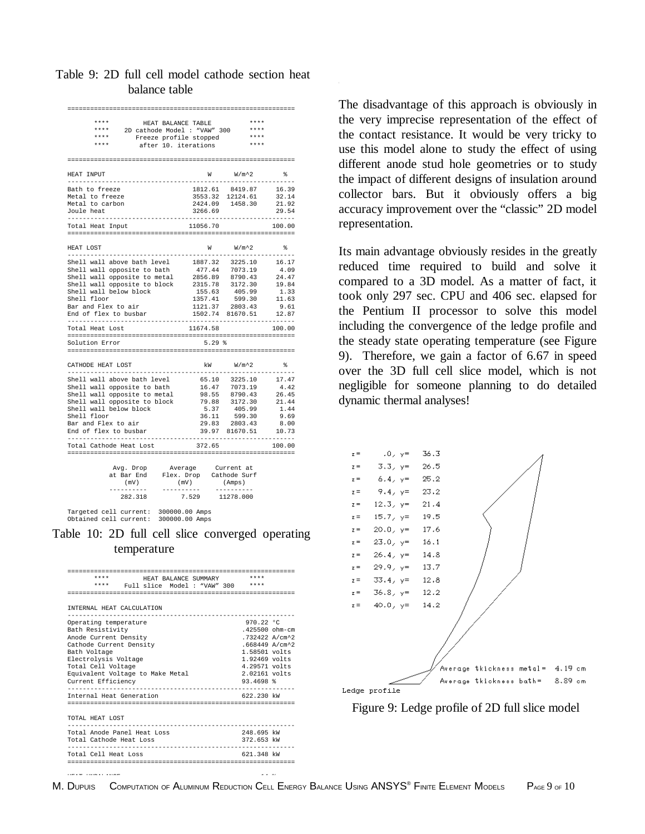| Table 9: 2D full cell model cathode section heat |  |               |  |  |
|--------------------------------------------------|--|---------------|--|--|
|                                                  |  | balance table |  |  |

| ****<br>HEAT BALANCE TABLE                          |          | ****             |                    |
|-----------------------------------------------------|----------|------------------|--------------------|
| $***$ * *<br>2D cathode Model : "VAW" 300           |          | ****             |                    |
| ****<br>Freeze profile stopped                      |          | $***$            |                    |
| ****<br>after 10. iterations                        |          | ****             |                    |
|                                                     |          |                  |                    |
|                                                     |          |                  |                    |
| HEAT INPUT                                          |          | $W$ $W/m^2$      | °                  |
| Bath to freeze                                      | 1812.61  | 8419.87          | 16.39              |
| Metal to freeze                                     |          | 3553.32 12124.61 | 32.14              |
| Metal to carbon                                     |          | 2424.09 1458.30  | 21.92              |
| Joule heat                                          | 3266.69  |                  | 29.54              |
| ----------------                                    |          |                  |                    |
| Total Heat Input                                    | 11056.70 |                  | 100.00             |
|                                                     |          |                  |                    |
| HEAT LOST<br>.                                      | W        | $W/m^2$          | ş.                 |
| Shell wall above bath level                         |          |                  | 16.17              |
|                                                     | 1887.32  | 3225.10          |                    |
| Shell wall opposite to bath                         | 477.44   | 7073.19          | 4.09               |
| Shell wall opposite to metal                        | 2856.89  | 8790.43          | 24.47              |
| Shell wall opposite to block                        | 2315.78  | 3172.30          | 19.84              |
| Shell wall below block                              | 155.63   | 405.99           | 1.33               |
| Shell floor                                         | 1357.41  | 599.30           | 11.63              |
| Bar and Flex to air                                 |          | 1121.37 2803.43  | 9.61               |
| End of flex to busbar                               | 1502.74  | 81670.51         | 12.87<br>--------- |
| Total Heat Lost                                     | 11674.58 |                  | 100.00             |
|                                                     |          |                  |                    |
| Solution Error                                      | $5.29*$  |                  |                    |
|                                                     |          |                  |                    |
| CATHODE HEAT LOST<br>______________________________ | kW       | $W/m^2$ .        | °                  |
| Shell wall above bath level                         | 65.10    | 3225.10          | 17.47              |
| Shell wall opposite to bath                         | 16.47    | 7073.19          | 4.42               |
| Shell wall opposite to metal                        | 98.55    | 8790.43          | 26.45              |
| Shell wall opposite to block                        | 79.88    | 3172.30          | 21.44              |
| Shell wall below block                              | 5.37     | 405.99           | 1.44               |
| Shell floor                                         | 36.11    | 599.30           | 9.69               |
| Bar and Flex to air                                 | 29.83    | 2803.43          | 8.00               |
| End of flex to busbar                               | 39.97    | 81670.51         | 10.73              |
|                                                     |          |                  |                    |
| Total Cathode Heat Lost                             | 372.65   |                  | 100.00             |
|                                                     |          |                  |                    |
| Avg. Drop<br>Average                                |          | Current at       |                    |

| at Bar End | Flex. Drop | Cathode Surf |
|------------|------------|--------------|
| (mV)       | (mV)       | (Amps)       |
|            |            |              |
| 282.318    | 7.529      | 11278.000    |
|            |            |              |

Targeted cell current: 300000.00 Amps Obtained cell current: 300000.00 Amps

Table 10: 2D full cell slice converged operating temperature

| $***$<br>$***$ * *<br>HEAT BALANCE SUMMARY                                                                                                                                                                                                                                                                                                                                                                  |  |  |  |  |  |
|-------------------------------------------------------------------------------------------------------------------------------------------------------------------------------------------------------------------------------------------------------------------------------------------------------------------------------------------------------------------------------------------------------------|--|--|--|--|--|
| **** Full slice Model: "VAW" 300 ****                                                                                                                                                                                                                                                                                                                                                                       |  |  |  |  |  |
|                                                                                                                                                                                                                                                                                                                                                                                                             |  |  |  |  |  |
| <b>INTERNAL HEAT CALCULATION</b>                                                                                                                                                                                                                                                                                                                                                                            |  |  |  |  |  |
| 970.22 °C<br>Operating temperature<br>$.425500$ ohm-cm<br>Bath Resistivity<br>Anode Current Density<br>.732422 A/cm^2<br>$.668449$ $\lambda$ /cm <sup>2</sup> 2<br>Cathode Current Density<br>$1.58501$ volts<br>Bath Voltage<br>$1.92469$ volts<br>Electrolysis Voltage<br>Total Cell Voltage<br>4.29571 volts<br>Equivalent Voltage to Make Metal<br>$2.02161$ volts<br>Current Efficiency<br>$93.4698$ * |  |  |  |  |  |
|                                                                                                                                                                                                                                                                                                                                                                                                             |  |  |  |  |  |
| Internal Heat Generation<br>622 230 kW                                                                                                                                                                                                                                                                                                                                                                      |  |  |  |  |  |
| TOTAL HEAT LOST                                                                                                                                                                                                                                                                                                                                                                                             |  |  |  |  |  |
| Total Anode Panel Heat Loss<br>248.695 kW                                                                                                                                                                                                                                                                                                                                                                   |  |  |  |  |  |
| 372.653 kW<br>Total Cathode Heat Loss                                                                                                                                                                                                                                                                                                                                                                       |  |  |  |  |  |
| Total Cell Heat Loss<br>621.348 kW                                                                                                                                                                                                                                                                                                                                                                          |  |  |  |  |  |

The disadvantage of this approach is obviously in the very imprecise representation of the effect of the contact resistance. It would be very tricky to use this model alone to study the effect of using different anode stud hole geometries or to study the impact of different designs of insulation around collector bars. But it obviously offers a big accuracy improvement over the "classic" 2D model representation.

Its main advantage obviously resides in the greatly reduced time required to build and solve it compared to a 3D model. As a matter of fact, it took only 297 sec. CPU and 406 sec. elapsed for the Pentium II processor to solve this model including the convergence of the ledge profile and the steady state operating temperature (see Figure 9). Therefore, we gain a factor of 6.67 in speed over the 3D full cell slice model, which is not negligible for someone planning to do detailed dynamic thermal analyses!